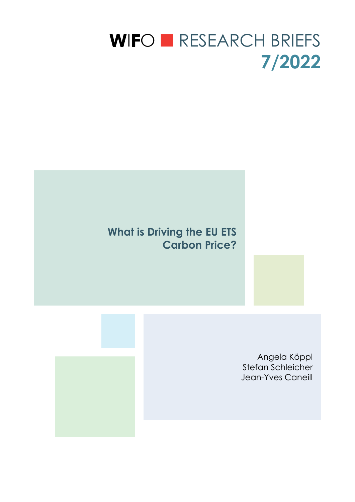# WIFO **EXELARCH BRIEFS 7/2022**

# **What is Driving the EU ETS Carbon Price?**

Angela Köppl Stefan Schleicher Jean-Yves Caneill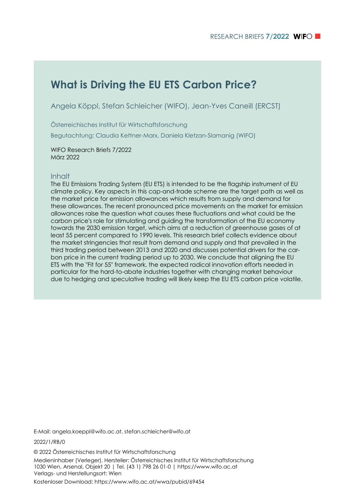# **What is Driving the EU ETS Carbon Price?**

Angela Köppl, Stefan Schleicher (WIFO), Jean-Yves Caneill (ERCST)

Österreichisches Institut für Wirtschaftsforschung

Begutachtung: Claudia Kettner-Marx, Daniela Kletzan-Slamanig (WIFO)

WIFO Research Briefs 7/2022 März 2022

#### Inhalt

The EU Emissions Trading System (EU ETS) is intended to be the flagship instrument of EU climate policy. Key aspects in this cap-and-trade scheme are the target path as well as the market price for emission allowances which results from supply and demand for these allowances. The recent pronounced price movements on the market for emission allowances raise the question what causes these fluctuations and what could be the carbon price's role for stimulating and guiding the transformation of the EU economy towards the 2030 emission target, which aims at a reduction of greenhouse gases of at least 55 percent compared to 1990 levels. This research brief collects evidence about the market stringencies that result from demand and supply and that prevailed in the third trading period between 2013 and 2020 and discusses potential drivers for the carbon price in the current trading period up to 2030. We conclude that aligning the EU ETS with the "Fit for 55" framework, the expected radical innovation efforts needed in particular for the hard-to-abate industries together with changing market behaviour due to hedging and speculative trading will likely keep the EU ETS carbon price volatile.

E-Mail: angela.koeppl@wifo.ac.at, stefan.schleicher@wifo.at

2022/1/RB/0

© 2022 Österreichisches Institut für Wirtschaftsforschung Medieninhaber (Verleger), Hersteller: Österreichisches Institut für Wirtschaftsforschung 1030 Wien, Arsenal, Objekt 20 | Tel. (43 1) 798 26 01-0 | https://www.wifo.ac.at Verlags- und Herstellungsort: Wien

Kostenloser Download: https://www.wifo.ac.at/wwa/pubid/69454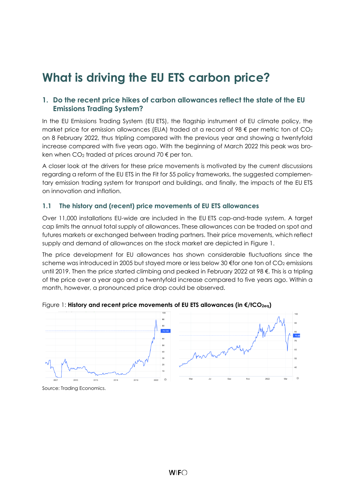# **What is driving the EU ETS carbon price?**

# **1. Do the recent price hikes of carbon allowances reflect the state of the EU Emissions Trading System?**

In the EU Emissions Trading System (EU ETS), the flagship instrument of EU climate policy, the market price for emission allowances (EUA) traded at a record of 98  $\epsilon$  per metric ton of CO<sub>2</sub> on 8 February 2022, thus tripling compared with the previous year and showing a twentyfold increase compared with five years ago. With the beginning of March 2022 this peak was broken when  $CO<sub>2</sub>$  traded at prices around 70  $\epsilon$  per ton.

A closer look at the drivers for these price movements is motivated by the current discussions regarding a reform of the EU ETS in the Fit for 55 policy frameworks, the suggested complementary emission trading system for transport and buildings, and finally, the impacts of the EU ETS on innovation and inflation.

# **1.1 The history and (recent) price movements of EU ETS allowances**

Over 11,000 installations EU-wide are included in the EU ETS cap-and-trade system. A target cap limits the annual total supply of allowances. These allowances can be traded on spot and futures markets or exchanged between trading partners. Their price movements, which reflect supply and demand of allowances on the stock market are depicted in [Figure](#page-2-0) 1.

The price development for EU allowances has shown considerable fluctuations since the scheme was introduced in 2005 but stayed more or less below 30 €for one ton of CO<sub>2</sub> emissions until 2019. Then the price started climbing and peaked in February 2022 at 98 €. This is a tripling of the price over a year ago and a twentyfold increase compared to five years ago. Within a month, however, a pronounced price drop could be observed.



<span id="page-2-0"></span>Figure 1: **History and recent price movements of EU ETS allowances (in €/tCO2eq)**

Source: Trading Economics.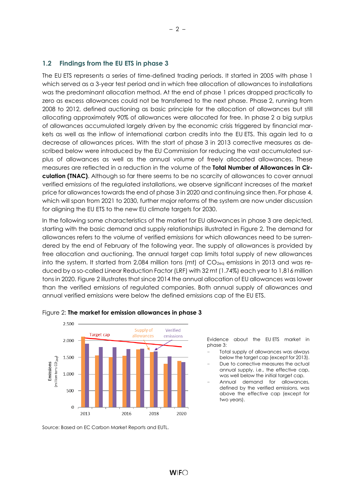# **1.2 Findings from the EU ETS in phase 3**

The EU ETS represents a series of time-defined trading periods. It started in 2005 with phase 1 which served as a 3-year test period and in which free allocation of allowances to installations was the predominant allocation method. At the end of phase 1 prices dropped practically to zero as excess allowances could not be transferred to the next phase. Phase 2, running from 2008 to 2012, defined auctioning as basic principle for the allocation of allowances but still allocating approximately 90% of allowances were allocated for free. In phase 2 a big surplus of allowances accumulated largely driven by the economic crisis triggered by financial markets as well as the inflow of international carbon credits into the EU ETS. This again led to a decrease of allowances prices. With the start of phase 3 in 2013 corrective measures as described below were introduced by the EU Commission for reducing the vast accumulated surplus of allowances as well as the annual volume of freely allocated allowances. These measures are reflected in a reduction in the volume of the **Total Number of Allowances in Circulation (TNAC)**. Although so far there seems to be no scarcity of allowances to cover annual verified emissions of the regulated installations, we observe significant increases of the market price for allowances towards the end of phase 3 in 2020 and continuing since then. For phase 4, which will span from 2021 to 2030, further major reforms of the system are now under discussion for aligning the EU ETS to the new EU climate targets for 2030.

In the following some characteristics of the market for EU allowances in phase 3 are depicted, starting with the basic demand and supply relationships illustrated in [Figure](#page-3-0) 2. The demand for allowances refers to the volume of verified emissions for which allowances need to be surrendered by the end of February of the following year. The supply of allowances is provided by free allocation and auctioning. The annual target cap limits total supply of new allowances into the system. It started from 2,084 million tons (mt) of  $CO_{2eq}$  emissions in 2013 and was reduced by a so-called Linear Reduction Factor (LRF) with 32 mt (1.74%) each year to 1,816 million tons in 2020[. Figure](#page-3-0) 2 illustrates that since 2014 the annual allocation of EU allowances was lower than the verified emissions of regulated companies. Both annual supply of allowances and annual verified emissions were below the defined emissions cap of the EU ETS.



<span id="page-3-0"></span>

Source: Based on EC Carbon Market Reports and EUTL.

Evidence about the EU ETS market in phase 3:

- Total supply of allowances was always below the target cap (except for 2013).
- Due to corrective measures the actual annual supply, i.e., the effective cap, was well below the initial target cap.
- Annual demand for allowances, defined by the verified emissions, was above the effective cap (except for two years).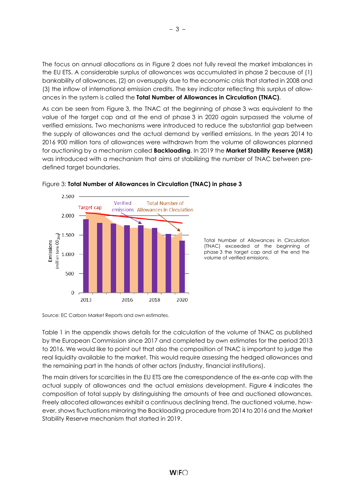The focus on annual allocations as in [Figure](#page-3-0) 2 does not fully reveal the market imbalances in the EU ETS. A considerable surplus of allowances was accumulated in phase 2 because of (1) bankability of allowances, (2) an oversupply due to the economic crisis that started in 2008 and (3) the inflow of international emission credits. The key indicator reflecting this surplus of allowances in the system is called the **Total Number of Allowances in Circulation (TNAC)**.

As can be seen from [Figure](#page-4-0) 3, the TNAC at the beginning of phase 3 was equivalent to the value of the target cap and at the end of phase 3 in 2020 again surpassed the volume of verified emissions. Two mechanisms were introduced to reduce the substantial gap between the supply of allowances and the actual demand by verified emissions. In the years 2014 to 2016 900 million tons of allowances were withdrawn from the volume of allowances planned for auctioning by a mechanism called **Backloading**. In 2019 the **Market Stability Reserve (MSR)** was introduced with a mechanism that aims at stabilizing the number of TNAC between predefined target boundaries.



<span id="page-4-0"></span>

Total Number of Allowances in Circulation (TNAC) exceeded at the beginning of phase 3 the target cap and at the end the volume of verified emissions.

Source: EC Carbon Market Reports and own estimates.

[Table](#page-11-0) 1 in the appendix shows details for the calculation of the volume of TNAC as published by the European Commission since 2017 and completed by own estimates for the period 2013 to 2016. We would like to point out that also the composition of TNAC is important to judge the real liquidity available to the market. This would require assessing the hedged allowances and the remaining part in the hands of other actors (industry, financial institutions).

The main drivers for scarcities in the EU ETS are the correspondence of the ex-ante cap with the actual supply of allowances and the actual emissions development. [Figure](#page-5-0) 4 indicates the composition of total supply by distinguishing the amounts of free and auctioned allowances. Freely allocated allowances exhibit a continuous declining trend. The auctioned volume, however, shows fluctuations mirroring the Backloading procedure from 2014 to 2016 and the Market Stability Reserve mechanism that started in 2019.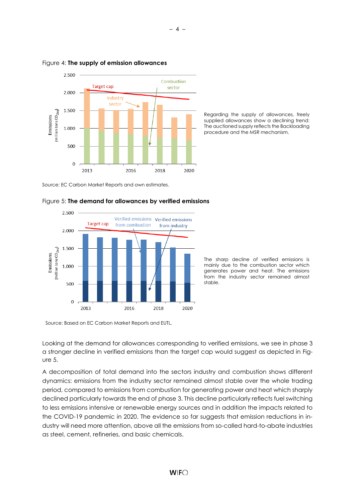

#### <span id="page-5-0"></span>Figure 4: **The supply of emission allowances**

Regarding the supply of allowances, freely supplied allowances show a declining trend: The auctioned supply reflects the Backloading procedure and the MSR mechanism.

Source: EC Carbon Market Reports and own estimates.



#### <span id="page-5-1"></span>Figure 5: **The demand for allowances by verified emissions**

The sharp decline of verified emissions is mainly due to the combustion sector which generates power and heat. The emissions from the industry sector remained almost stable.

Source: Based on EC Carbon Market Reports and EUTL.

Looking at the demand for allowances corresponding to verified emissions, we see in phase 3 a stronger decline in verified emissions than the target cap would suggest as depicted in [Fig](#page-5-1)[ure](#page-5-1) 5.

A decomposition of total demand into the sectors industry and combustion shows different dynamics: emissions from the industry sector remained almost stable over the whole trading period, compared to emissions from combustion for generating power and heat which sharply declined particularly towards the end of phase 3. This decline particularly reflects fuel switching to less emissions intensive or renewable energy sources and in addition the impacts related to the COVID-19 pandemic in 2020. The evidence so far suggests that emission reductions in industry will need more attention, above all the emissions from so-called hard-to-abate industries as steel, cement, refineries, and basic chemicals.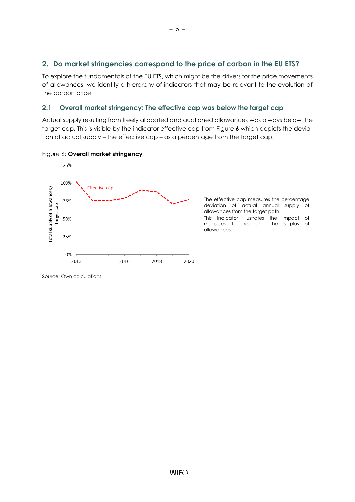# **2. Do market stringencies correspond to the price of carbon in the EU ETS?**

To explore the fundamentals of the EU ETS, which might be the drivers for the price movements of allowances, we identify a hierarchy of indicators that may be relevant to the evolution of the carbon price.

# **2.1 Overall market stringency: The effective cap was below the target cap**

Actual supply resulting from freely allocated and auctioned allowances was always below the target cap. This is visible by the indicator effective cap from [Figure](#page-6-0) **6** which depicts the deviation of actual supply – the effective cap – as a percentage from the target cap,



#### <span id="page-6-0"></span>Figure 6: **Overall market stringency**

The effective cap measures the percentage deviation of actual annual supply of allowances from the target path. This indicator illustrates the impact of measures for reducing the surplus of allowances.

Source: Own calculations.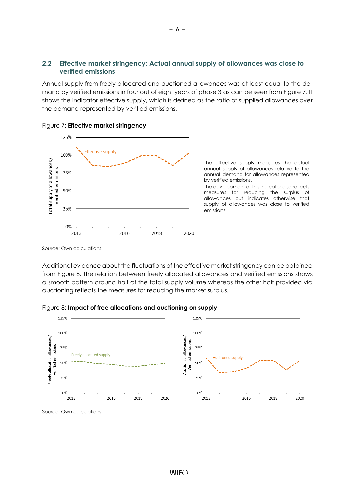### **2.2 Effective market stringency: Actual annual supply of allowances was close to verified emissions**

Annual supply from freely allocated and auctioned allowances was at least equal to the demand by verified emissions in four out of eight years of phase 3 as can be seen from [Figure](#page-7-0) 7. It shows the indicator effective supply, which is defined as the ratio of supplied allowances over the demand represented by verified emissions.



<span id="page-7-0"></span>

The effective supply measures the actual annual supply of allowances relative to the annual demand for allowances represented by verified emissions.

The development of this indicator also reflects measures for reducing the surplus of allowances but indicates otherwise that supply of allowances was close to verified emissions.

Source: Own calculations.

Additional evidence about the fluctuations of the effective market stringency can be obtained from [Figure](#page-7-1) 8. The relation between freely allocated allowances and verified emissions shows a smooth pattern around half of the total supply volume whereas the other half provided via auctioning reflects the measures for reducing the market surplus.



<span id="page-7-1"></span>Figure 8: **Impact of free allocations and auctioning on supply**

Source: Own calculations.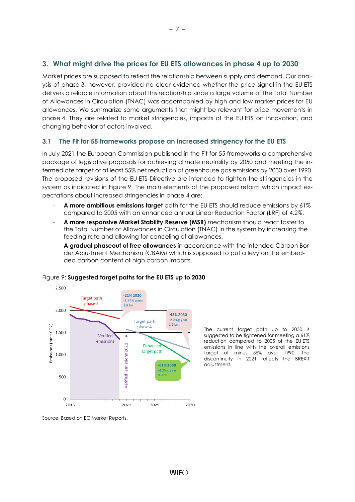# **3. What might drive the prices for EU ETS allowances in phase 4 up to 2030**

Market prices are supposed to reflect the relationship between supply and demand. Our analysis of phase 3, however, provided no clear evidence whether the price signal in the EU ETS delivers a reliable information about this relationship since a large volume of the Total Number of Allowances in Circulation (TNAC) was accompanied by high and low market prices for EU allowances. We summarize some arguments that might be relevant for price movements in phase 4. They are related to market stringencies, impacts of the EU ETS on innovation, and changing behavior of actors involved.

# **3.1 The Fit for 55 frameworks propose an increased stringency for the EU ETS**

In July 2021 the European Commission published in the Fit for 55 frameworks a comprehensive package of legislative proposals for achieving climate neutrality by 2050 and meeting the intermediate target of at least 55% net reduction of greenhouse gas emissions by 2030 over 1990. The proposed revisions of the EU ETS Directive are intended to tighten the stringencies in the system as indicated in [Figure](#page-8-0) 9. The main elements of the proposed reform which impact expectations about increased stringencies in phase 4 are:

- **A more ambitious emissions target** path for the EU ETS should reduce emissions by 61% compared to 2005 with an enhanced annual Linear Reduction Factor (LRF) of 4.2%.
- **A more responsive Market Stability Reserve (MSR)** mechanism should react faster to the Total Number of Allowances in Circulation (TNAC) in the system by increasing the feeding rate and allowing for canceling of allowances.
- **A gradual phaseout of free allowances** in accordance with the intended Carbon Border Adjustment Mechanism (CBAM) which is supposed to put a levy on the embedded carbon content of high carbon imports.



#### <span id="page-8-0"></span>Figure 9: **Suggested target paths for the EU ETS up to 2030**

The current target path up to 2030 is suggested to be tightened for meeting a 61% reduction compared to 2005 of the EU ETS emissions in line with the overall emissions target of minus 55% over 1990. The discontinuity in 2021 reflects the BREXIT adjustment.

Source: Based on EC Market Reports.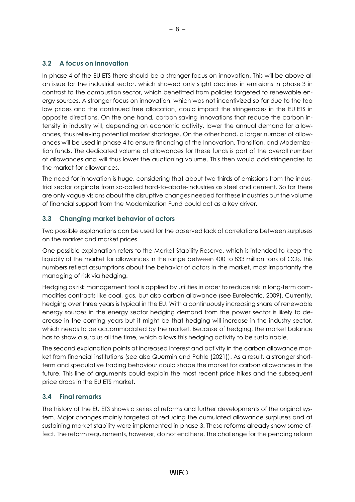# **3.2 A focus on innovation**

In phase 4 of the EU ETS there should be a stronger focus on innovation. This will be above all an issue for the industrial sector, which showed only slight declines in emissions in phase 3 in contrast to the combustion sector, which benefitted from policies targeted to renewable energy sources. A stronger focus on innovation, which was not incentivized so far due to the too low prices and the continued free allocation, could impact the stringencies in the EU ETS in opposite directions. On the one hand, carbon saving innovations that reduce the carbon intensity in industry will, depending on economic activity, lower the annual demand for allowances, thus relieving potential market shortages. On the other hand, a larger number of allowances will be used in phase 4 to ensure financing of the Innovation, Transition, and Modernization funds. The dedicated volume of allowances for these funds is part of the overall number of allowances and will thus lower the auctioning volume. This then would add stringencies to the market for allowances.

The need for innovation is huge, considering that about two thirds of emissions from the industrial sector originate from so-called hard-to-abate-industries as steel and cement. So far there are only vague visions about the disruptive changes needed for these industries but the volume of financial support from the Modernization Fund could act as a key driver.

# **3.3 Changing market behavior of actors**

Two possible explanations can be used for the observed lack of correlations between surpluses on the market and market prices.

One possible explanation refers to the Market Stability Reserve, which is intended to keep the liquidity of the market for allowances in the range between 400 to 833 million tons of CO2. This numbers reflect assumptions about the behavior of actors in the market, most importantly the managing of risk via hedging.

Hedging as risk management tool is applied by utilities in order to reduce risk in long-term commodities contracts like coal, gas, but also carbon allowance (see Eurelectric, 2009). Currently, hedging over three years is typical in the EU. With a continuously increasing share of renewable energy sources in the energy sector hedging demand from the power sector is likely to decrease in the coming years but it might be that hedging will increase in the industry sector, which needs to be accommodated by the market. Because of hedging, the market balance has to show a surplus all the time, which allows this hedging activity to be sustainable.

The second explanation points at increased interest and activity in the carbon allowance market from financial institutions (see also Quermin and Pahle (2021)). As a result, a stronger shortterm and speculative trading behaviour could shape the market for carbon allowances in the future. This line of arguments could explain the most recent price hikes and the subsequent price drops in the EU ETS market.

# **3.4 Final remarks**

The history of the EU ETS shows a series of reforms and further developments of the original system. Major changes mainly targeted at reducing the cumulated allowance surpluses and at sustaining market stability were implemented in phase 3. These reforms already show some effect. The reform requirements, however, do not end here. The challenge for the pending reform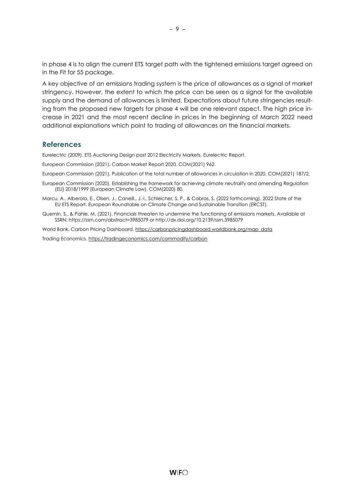in phase 4 is to align the current ETS target path with the tightened emissions target agreed on in the Fit for 55 package.

A key objective of an emissions trading system is the price of allowances as a signal of market stringency. However, the extent to which the price can be seen as a signal for the available supply and the demand of allowances is limited. Expectations about future stringencies resulting from the proposed new targets for phase 4 will be one relevant aspect. The high price increase in 2021 and the most recent decline in prices in the beginning of March 2022 need additional explanations which point to trading of allowances on the financial markets.

#### **References**

Eurelectric (2009). ETS Auctioning Design post 2012 Electricity Markets. Eurelectric Report.

European Commission (2021). Carbon Market Report 2020. COM(2021) 962.

European Commission (2021). Publication of the total number of allowances in circulation in 2020. COM(2021) 187/2.

- European Commission (2020). Establishing the framework for achieving climate neutrality and amending Regulation (EU) 2018/1999 (European Climate Law). COM(2020) 80.
- Marcu, A., Alberola, E., Olsen, J., Caneill., J.-I., Schleicher, S. P., & Cabras, S. (2022 forthcoming). 2022 State of the EU ETS Report. European Roundtable on Climate Change and Sustainable Transition (ERCST).
- Quemin, S., & Pahle, M. (2021). Financials threaten to undermine the functioning of emissions markets. Available at SSRN: https://ssrn.com/abstract=3985079 or http://dx.doi.org/10.2139/ssrn.3985079

World Bank. Carbon Pricing Dashboard. [https://carbonpricingdashboard.worldbank.org/map\\_data](https://carbonpricingdashboard.worldbank.org/map_data)

Trading Economics[. https://tradingeconomics.com/commodity/carbon](https://tradingeconomics.com/commodity/carbon)